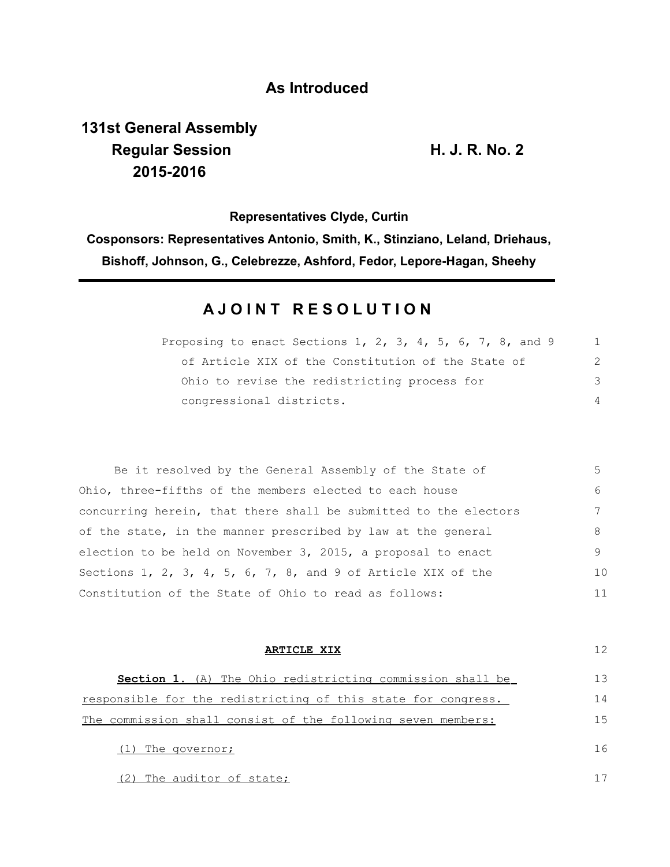# **As Introduced**

# **131st General Assembly Regular Session H. J. R. No. 2 2015-2016**

**Representatives Clyde, Curtin Cosponsors: Representatives Antonio, Smith, K., Stinziano, Leland, Driehaus, Bishoff, Johnson, G., Celebrezze, Ashford, Fedor, Lepore-Hagan, Sheehy**

# **A J O I N T R E S O L U T I O N**

| Proposing to enact Sections 1, 2, 3, 4, 5, 6, 7, 8, and 9 |               |
|-----------------------------------------------------------|---------------|
| of Article XIX of the Constitution of the State of        | $\mathcal{P}$ |
| Ohio to revise the redistricting process for              | 3             |
| congressional districts.                                  |               |

| Be it resolved by the General Assembly of the State of           | $5 -$ |
|------------------------------------------------------------------|-------|
| Ohio, three-fifths of the members elected to each house          | 6     |
| concurring herein, that there shall be submitted to the electors |       |
| of the state, in the manner prescribed by law at the general     | 8     |
| election to be held on November 3, 2015, a proposal to enact     | 9     |
| Sections 1, 2, 3, 4, 5, 6, 7, 8, and 9 of Article XIX of the     | 10    |
| Constitution of the State of Ohio to read as follows:            | 11    |

| ARTICLE XIX                                                      | 12 |
|------------------------------------------------------------------|----|
| <b>Section 1.</b> (A) The Ohio redistricting commission shall be | 13 |
| responsible for the redistricting of this state for congress.    | 14 |
| The commission shall consist of the following seven members:     | 15 |
| The governor;                                                    | 16 |
| (2) The auditor of state;                                        |    |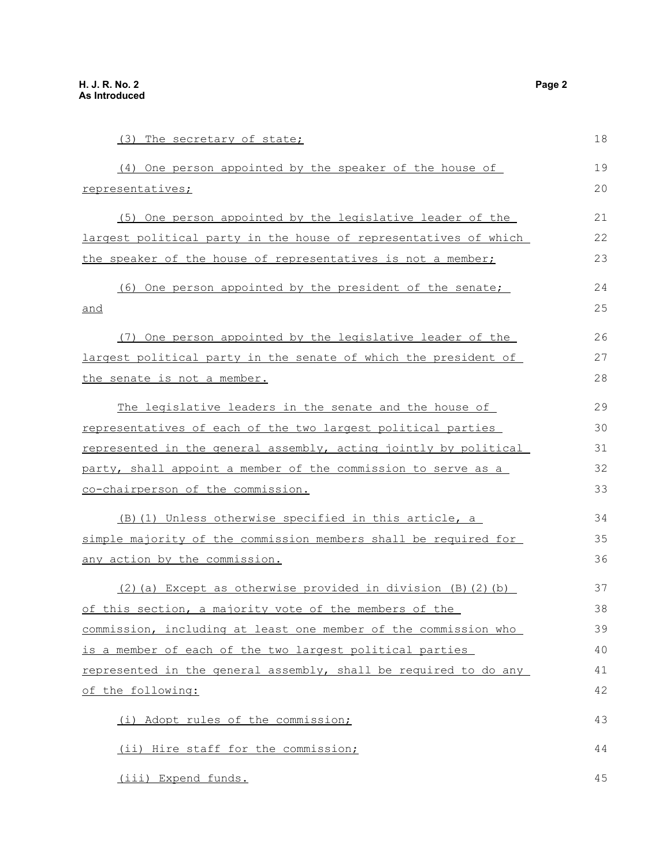| (3) The secretary of state;                                      | 18 |
|------------------------------------------------------------------|----|
| (4) One person appointed by the speaker of the house of          | 19 |
| representatives;                                                 | 20 |
| (5) One person appointed by the legislative leader of the        | 21 |
| largest political party in the house of representatives of which | 22 |
| the speaker of the house of representatives is not a member;     | 23 |
| (6) One person appointed by the president of the senate;         | 24 |
| and                                                              | 25 |
| (7) One person appointed by the legislative leader of the        | 26 |
| largest political party in the senate of which the president of  | 27 |
| <u>the senate is not a member.</u>                               | 28 |
| The legislative leaders in the senate and the house of           | 29 |
| representatives of each of the two largest political parties     | 30 |
| represented in the general assembly, acting jointly by political | 31 |
| party, shall appoint a member of the commission to serve as a    | 32 |
| co-chairperson of the commission.                                | 33 |
| (B) (1) Unless otherwise specified in this article, a            | 34 |
| simple majority of the commission members shall be required for  | 35 |
| any action by the commission.                                    | 36 |
| (2) (a) Except as otherwise provided in division (B) (2) (b)     | 37 |
| of this section, a majority vote of the members of the           | 38 |
| commission, including at least one member of the commission who  | 39 |
| is a member of each of the two largest political parties         | 40 |
| represented in the general assembly, shall be required to do any | 41 |
| of the following:                                                | 42 |
| (i) Adopt rules of the commission;                               | 43 |
| (ii) Hire staff for the commission;                              | 44 |

(iii) Expend funds.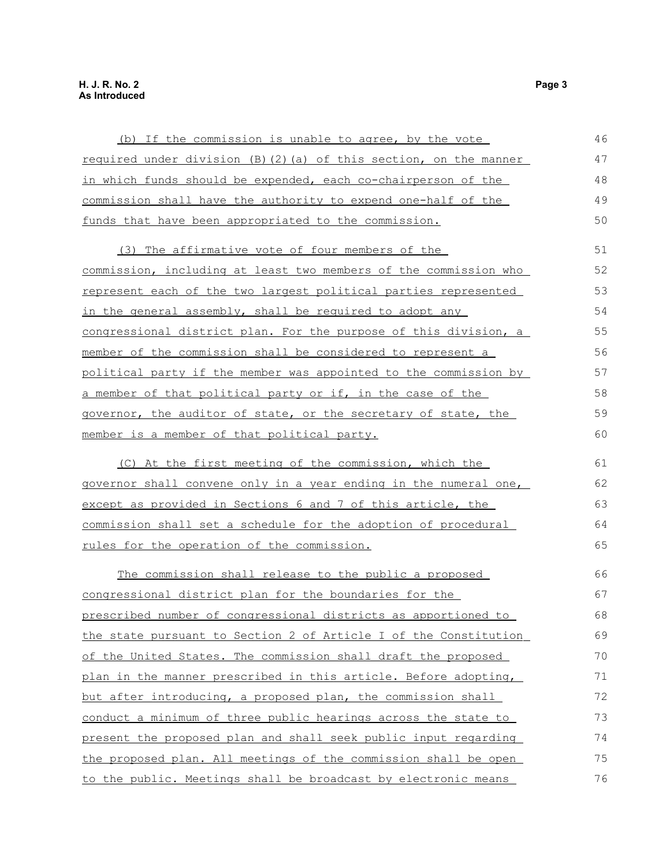## (b) If the commission is unable to agree, by the vote required under division (B)(2)(a) of this section, on the manner in which funds should be expended, each co-chairperson of the commission shall have the authority to expend one-half of the funds that have been appropriated to the commission. (3) The affirmative vote of four members of the commission, including at least two members of the commission who represent each of the two largest political parties represented in the general assembly, shall be required to adopt any congressional district plan. For the purpose of this division, a member of the commission shall be considered to represent a political party if the member was appointed to the commission by a member of that political party or if, in the case of the governor, the auditor of state, or the secretary of state, the member is a member of that political party. (C) At the first meeting of the commission, which the governor shall convene only in a year ending in the numeral one, except as provided in Sections 6 and 7 of this article, the commission shall set a schedule for the adoption of procedural rules for the operation of the commission. The commission shall release to the public a proposed congressional district plan for the boundaries for the prescribed number of congressional districts as apportioned to the state pursuant to Section 2 of Article I of the Constitution of the United States. The commission shall draft the proposed plan in the manner prescribed in this article. Before adopting, but after introducing, a proposed plan, the commission shall conduct a minimum of three public hearings across the state to present the proposed plan and shall seek public input regarding the proposed plan. All meetings of the commission shall be open 46 47 48 49 50 51 52 53 54 55 56 57 58 59 60 61 62 63 64 65 66 67 68 69 70 71 72 73 74 75

to the public. Meetings shall be broadcast by electronic means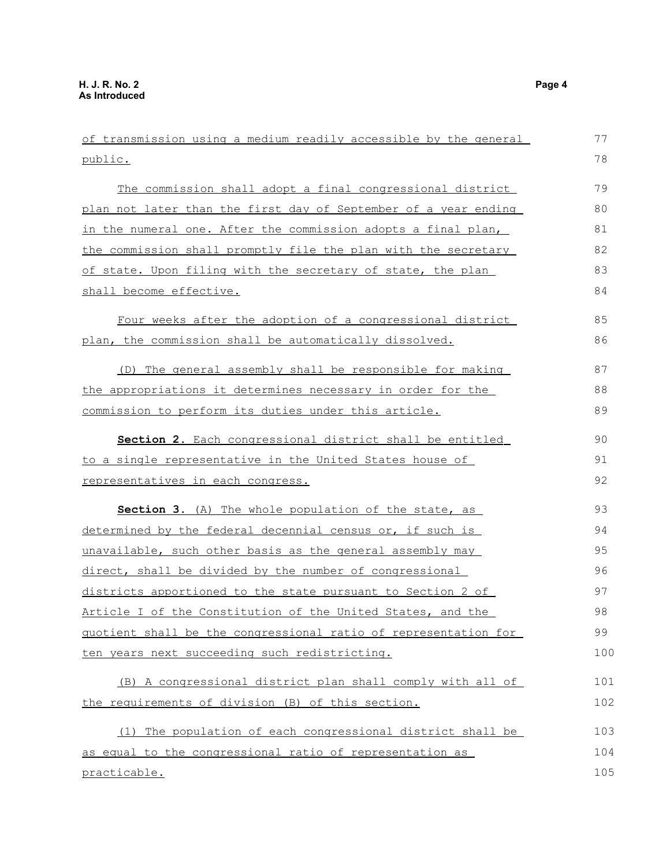| of transmission using a medium readily accessible by the general | 77  |
|------------------------------------------------------------------|-----|
| public.                                                          | 78  |
| The commission shall adopt a final congressional district        | 79  |
| plan not later than the first day of September of a year ending  | 80  |
| in the numeral one. After the commission adopts a final plan,    | 81  |
| the commission shall promptly file the plan with the secretary   | 82  |
| of state. Upon filing with the secretary of state, the plan      | 83  |
| shall become effective.                                          | 84  |
| Four weeks after the adoption of a congressional district        | 85  |
| plan, the commission shall be automatically dissolved.           | 86  |
| (D) The general assembly shall be responsible for making         | 87  |
| the appropriations it determines necessary in order for the      | 88  |
| commission to perform its duties under this article.             | 89  |
| Section 2. Each congressional district shall be entitled         | 90  |
| to a single representative in the United States house of         | 91  |
| <u>representatives in each congress.</u>                         | 92  |
| <b>Section 3.</b> (A) The whole population of the state, as      | 93  |
| determined by the federal decennial census or, if such is        | 94  |
| unavailable, such other basis as the general assembly may        | 95  |
| direct, shall be divided by the number of congressional          | 96  |
| districts apportioned to the state pursuant to Section 2 of      | 97  |
| Article I of the Constitution of the United States, and the      | 98  |
| quotient shall be the congressional ratio of representation for  | 99  |
| ten years next succeeding such redistricting.                    | 100 |
| (B) A congressional district plan shall comply with all of       | 101 |
| the requirements of division (B) of this section.                | 102 |
| (1) The population of each congressional district shall be       | 103 |
| as equal to the congressional ratio of representation as         | 104 |
| practicable.                                                     | 105 |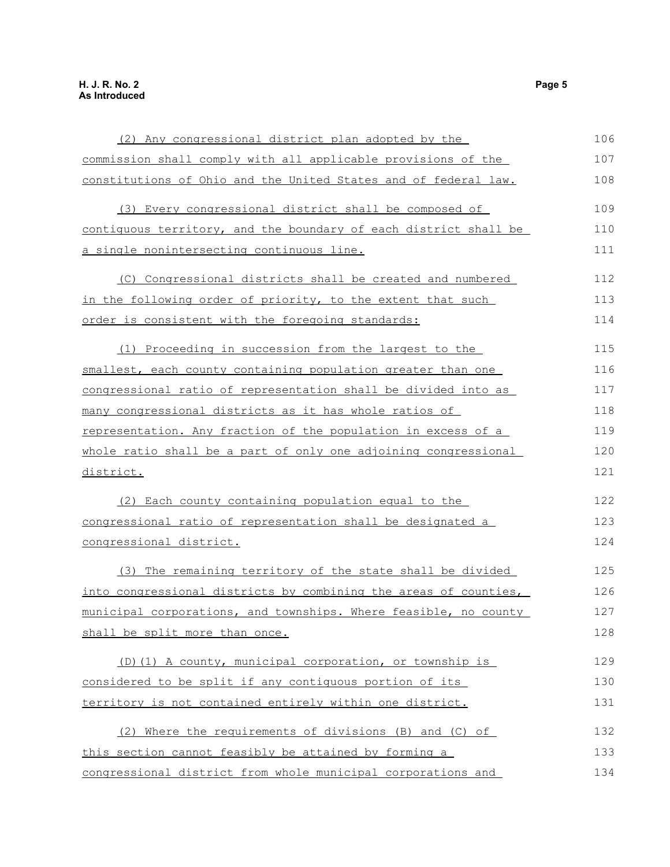## (2) Any congressional district plan adopted by the commission shall comply with all applicable provisions of the constitutions of Ohio and the United States and of federal law. (3) Every congressional district shall be composed of contiguous territory, and the boundary of each district shall be a single nonintersecting continuous line. (C) Congressional districts shall be created and numbered in the following order of priority, to the extent that such order is consistent with the foregoing standards: (1) Proceeding in succession from the largest to the smallest, each county containing population greater than one congressional ratio of representation shall be divided into as many congressional districts as it has whole ratios of representation. Any fraction of the population in excess of a whole ratio shall be a part of only one adjoining congressional district. (2) Each county containing population equal to the congressional ratio of representation shall be designated a congressional district. (3) The remaining territory of the state shall be divided into congressional districts by combining the areas of counties, municipal corporations, and townships. Where feasible, no county shall be split more than once. (D)(1) A county, municipal corporation, or township is considered to be split if any contiguous portion of its territory is not contained entirely within one district. (2) Where the requirements of divisions (B) and (C) of this section cannot feasibly be attained by forming a congressional district from whole municipal corporations and 106 107 108 109 110 111 112 113 114 115 116 117 118 119 120 121 122 123 124 125 126 127 128 129 130 131 132 133 134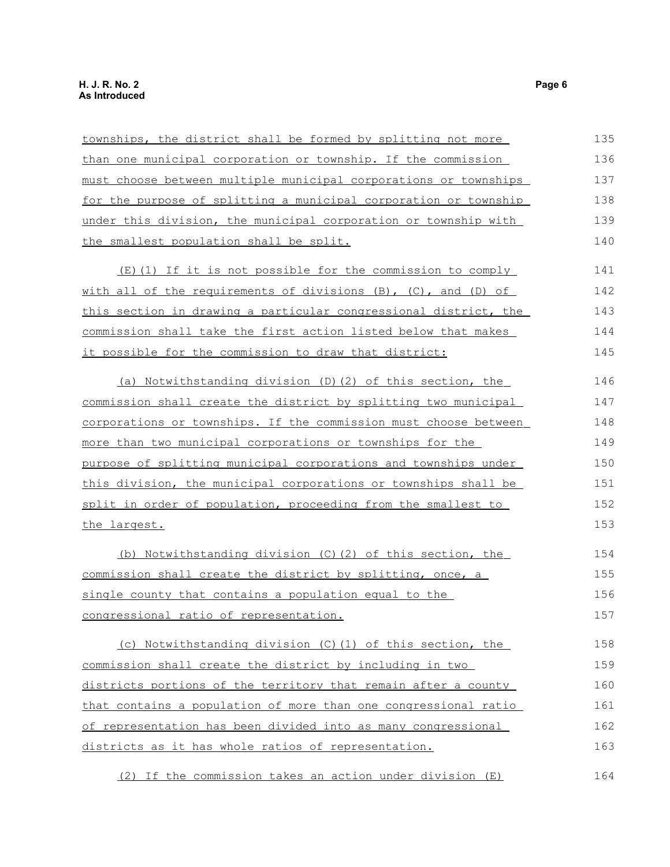## townships, the district shall be formed by splitting not more than one municipal corporation or township. If the commission must choose between multiple municipal corporations or townships for the purpose of splitting a municipal corporation or township under this division, the municipal corporation or township with the smallest population shall be split. (E)(1) If it is not possible for the commission to comply with all of the requirements of divisions (B), (C), and (D) of this section in drawing a particular congressional district, the commission shall take the first action listed below that makes it possible for the commission to draw that district: (a) Notwithstanding division (D) (2) of this section, the commission shall create the district by splitting two municipal corporations or townships . If the commission must choose between 135 136 137 138 139 140 141 142 143 144 145 146 147 148

more than two municipal corporations or townships for the purpose of splitting municipal corporations and townships under this division, the municipal corporations or townships shall be split in order of population, proceeding from the smallest to the largest. 149 150 151 152 153

 (b) Notwithstanding division (C)(2) of this section, the commission shall create the district by splitting, once, a single county that contains a population equal to the congressional ratio of representation. 154 155 156 157

(c) Notwithstanding division (C)(1) of this section, the commission shall create the district by including in two districts portions of the territory that remain after a county that contains a population of more than one congressional ratio of representation has been divided into as many congressional districts as it has whole ratios of representation. 158 159 160 161 162 163

(2) If the commission takes an action under division (E) 164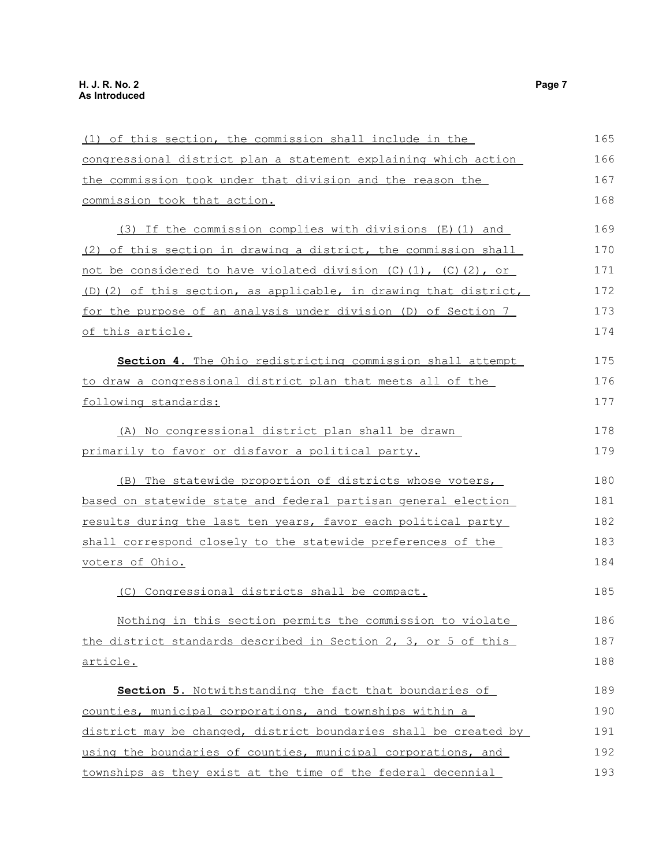## (1) of this section, the commission shall include in the congressional district plan a statement explaining which action the commission took under that division and the reason the commission took that action. (3) If the commission complies with divisions (E)(1) and (2) of this section in drawing a district, the commission shall not be considered to have violated division  $(C)$   $(1)$ ,  $(C)$   $(2)$ , or (D)(2) of this section, as applicable, in drawing that district, for the purpose of an analysis under division (D) of Section 7 of this article. **Section 4.** The Ohio redistricting commission shall attempt to draw a congressional district plan that meets all of the following standards: (A) No congressional district plan shall be drawn primarily to favor or disfavor a political party. (B) The statewide proportion of districts whose voters, based on statewide state and federal partisan general election results during the last ten years, favor each political party shall correspond closely to the statewide preferences of the voters of Ohio. (C) Congressional districts shall be compact. Nothing in this section permits the commission to violate the district standards described in Section 2, 3, or 5 of this article. **Section 5.** Notwithstanding the fact that boundaries of counties, municipal corporations, and townships within a district may be changed, district boundaries shall be created by using the boundaries of counties, municipal corporations, and 165 166 167 168 169 170 171 172 173 174 175 176 177 178 179 180 181 182 183 184 185 186 187 188 189 190 191 192

townships as they exist at the time of the federal decennial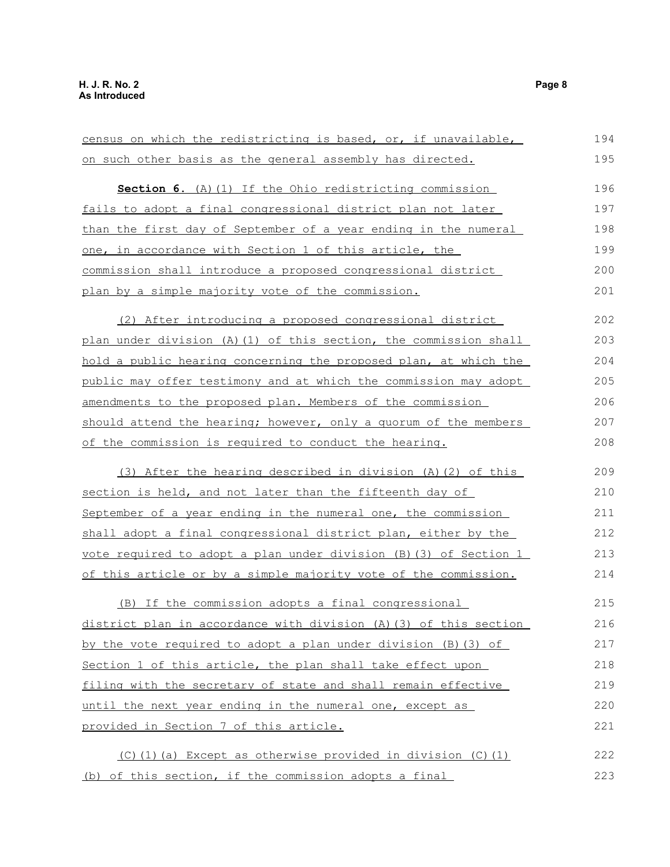| census on which the redistricting is based, or, if unavailable,     | 194 |
|---------------------------------------------------------------------|-----|
| on such other basis as the general assembly has directed.           | 195 |
| Section 6. (A) (1) If the Ohio redistricting commission             | 196 |
| fails to adopt a final congressional district plan not later        | 197 |
| than the first day of September of a year ending in the numeral     | 198 |
| one, in accordance with Section 1 of this article, the              | 199 |
| commission shall introduce a proposed congressional district        | 200 |
| plan by a simple majority vote of the commission.                   | 201 |
|                                                                     |     |
| (2) After introducing a proposed congressional district             | 202 |
| plan under division (A) (1) of this section, the commission shall   | 203 |
| hold a public hearing concerning the proposed plan, at which the    | 204 |
| public may offer testimony and at which the commission may adopt    | 205 |
| amendments to the proposed plan. Members of the commission          | 206 |
| should attend the hearing; however, only a quorum of the members    | 207 |
| of the commission is required to conduct the hearing.               | 208 |
|                                                                     |     |
| (3) After the hearing described in division (A) (2) of this         | 209 |
| section is held, and not later than the fifteenth day of            | 210 |
| September of a year ending in the numeral one, the commission       | 211 |
| shall adopt a final congressional district plan, either by the      | 212 |
| vote required to adopt a plan under division $(B)$ (3) of Section 1 | 213 |
| of this article or by a simple majority vote of the commission.     | 214 |
| (B) If the commission adopts a final congressional                  | 215 |
| district plan in accordance with division (A) (3) of this section   | 216 |
| by the vote required to adopt a plan under division (B) (3) of      | 217 |
| Section 1 of this article, the plan shall take effect upon          | 218 |
| filing with the secretary of state and shall remain effective       | 219 |
| until the next year ending in the numeral one, except as            | 220 |
| provided in Section 7 of this article.                              | 221 |
| $(C)$ (1) (a) Except as otherwise provided in division (C) (1)      | 222 |
| (b) of this section, if the commission adopts a final               | 223 |
|                                                                     |     |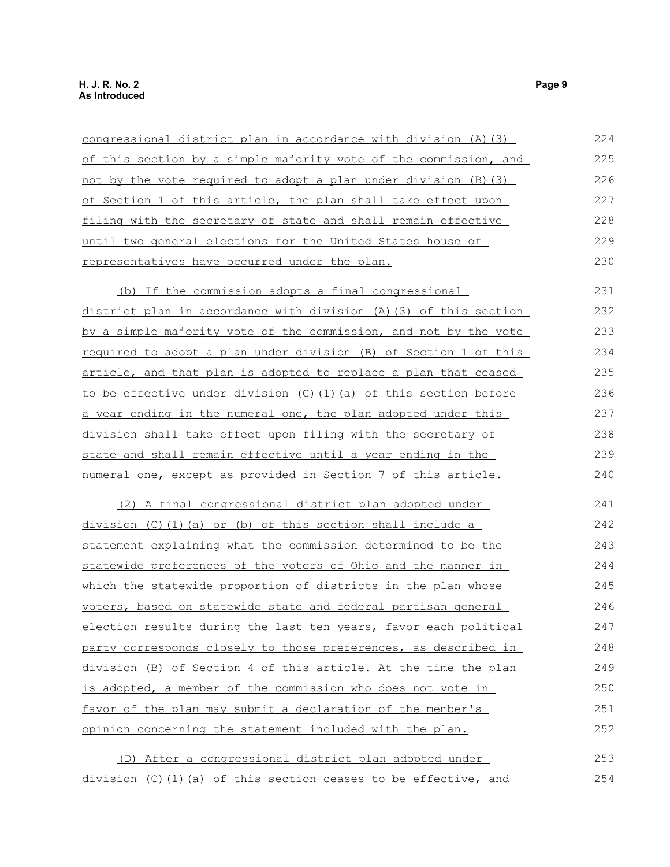# congressional district plan in accordance with division (A)(3)

| of this section by a simple majority vote of the commission, and | 225 |
|------------------------------------------------------------------|-----|
| not by the vote required to adopt a plan under division (B)(3)   | 226 |
| of Section 1 of this article, the plan shall take effect upon    | 227 |
| filing with the secretary of state and shall remain effective    | 228 |
| until two general elections for the United States house of       | 229 |
| representatives have occurred under the plan.                    | 230 |
|                                                                  |     |

(b) If the commission adopts a final congressional district plan in accordance with division (A)(3) of this section by a simple majority vote of the commission, and not by the vote required to adopt a plan under division (B) of Section 1 of this article, and that plan is adopted to replace a plan that ceased to be effective under division (C)(1)(a) of this section before a year ending in the numeral one, the plan adopted under this division shall take effect upon filing with the secretary of state and shall remain effective until a year ending in the numeral one, except as provided in Section 7 of this article. 231 232 233 234 235 236 237 238 239 240

(2) A final congressional district plan adopted under division (C)(1)(a) or (b) of this section shall include a statement explaining what the commission determined to be the statewide preferences of the voters of Ohio and the manner in which the statewide proportion of districts in the plan whose voters, based on statewide state and federal partisan general election results during the last ten years, favor each political party corresponds closely to those preferences, as described in division (B) of Section 4 of this article. At the time the plan is adopted, a member of the commission who does not vote in favor of the plan may submit a declaration of the member's opinion concerning the statement included with the plan. 241 242 243 244 245 246 247 248 249 250 251 252

(D) After a congressional district plan adopted under division (C)(1)(a) of this section ceases to be effective, and 253 254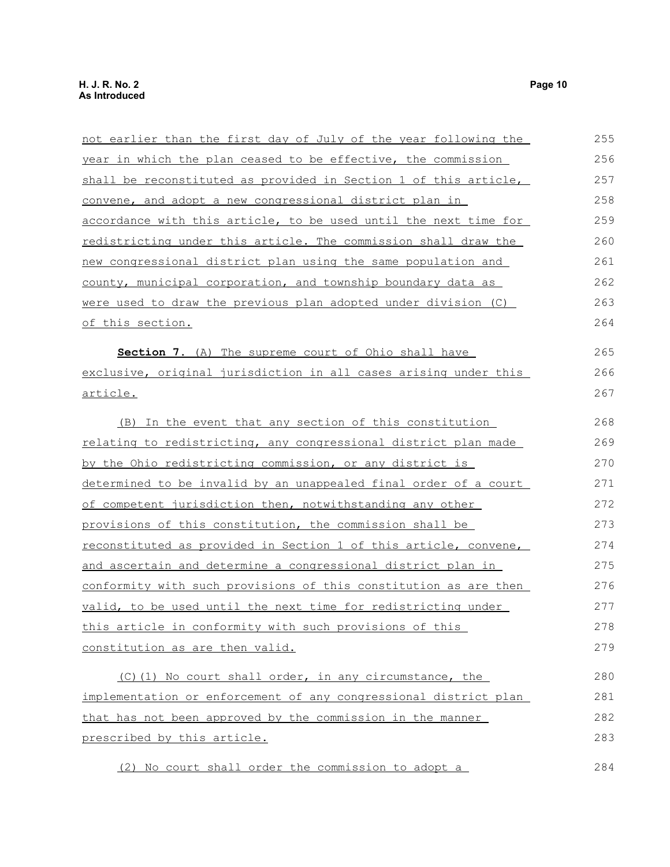not earlier than the first day of July of the year following the year in which the plan ceased to be effective, the commission shall be reconstituted as provided in Section 1 of this article, convene, and adopt a new congressional district plan in accordance with this article, to be used until the next time for redistricting under this article. The commission shall draw the new congressional district plan using the same population and county, municipal corporation, and township boundary data as were used to draw the previous plan adopted under division (C) of this section. **Section 7.** (A) The supreme court of Ohio shall have exclusive, original jurisdiction in all cases arising under this article. (B) In the event that any section of this constitution relating to redistricting, any congressional district plan made by the Ohio redistricting commission, or any district is determined to be invalid by an unappealed final order of a court of competent jurisdiction then, notwithstanding any other provisions of this constitution, the commission shall be reconstituted as provided in Section 1 of this article, convene, and ascertain and determine a congressional district plan in conformity with such provisions of this constitution as are then valid, to be used until the next time for redistricting under this article in conformity with such provisions of this constitution as are then valid. (C) (1) No court shall order, in any circumstance, the implementation or enforcement of any congressional district plan that has not been approved by the commission in the manner 255 256 257 258 259 260 261 262 263 264 265 266 267 268 269 270 271 272 273 274 275 276 277 278 279 280 281 282

(2) No court shall order the commission to adopt a 284

prescribed by this article.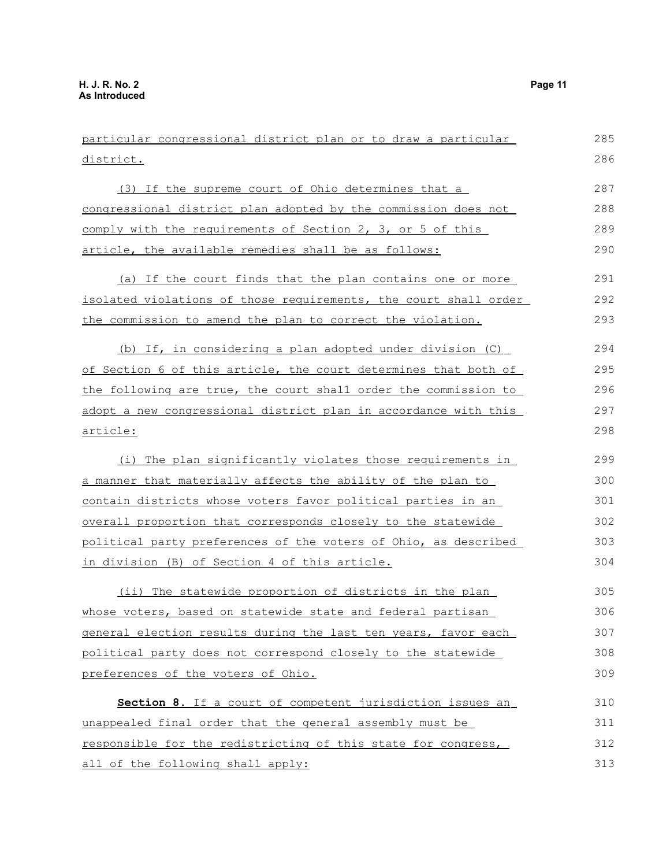| particular congressional district plan or to draw a particular           | 285 |
|--------------------------------------------------------------------------|-----|
| <u>district.</u>                                                         | 286 |
| (3) If the supreme court of Ohio determines that a                       | 287 |
| congressional district plan adopted by the commission does not           | 288 |
| comply with the requirements of Section 2, 3, or 5 of this               | 289 |
| article, the available remedies shall be as follows:                     | 290 |
| (a) If the court finds that the plan contains one or more                | 291 |
| <u>isolated violations of those requirements, the court shall order </u> | 292 |
| the commission to amend the plan to correct the violation.               | 293 |
| (b) If, in considering a plan adopted under division (C)                 | 294 |
| of Section 6 of this article, the court determines that both of          | 295 |
| the following are true, the court shall order the commission to          | 296 |
| adopt a new congressional district plan in accordance with this          | 297 |
| <u>article:</u>                                                          | 298 |
| (i) The plan significantly violates those requirements in                | 299 |
| <u>a manner that materially affects the ability of the plan to </u>      | 300 |
| <u>contain districts whose voters favor political parties in an</u>      | 301 |
| <u>overall proportion that corresponds closely to the statewide</u>      | 302 |
| political party preferences of the voters of Ohio, as described          | 303 |
| in division (B) of Section 4 of this article.                            | 304 |
| (ii) The statewide proportion of districts in the plan                   | 305 |
| whose voters, based on statewide state and federal partisan              | 306 |
| general election results during the last ten years, favor each           | 307 |
| political party does not correspond closely to the statewide             | 308 |
| preferences of the voters of Ohio.                                       | 309 |
| Section 8. If a court of competent jurisdiction issues an                | 310 |
| unappealed final order that the general assembly must be                 | 311 |
| responsible for the redistricting of this state for congress,            | 312 |
| all of the following shall apply:                                        | 313 |